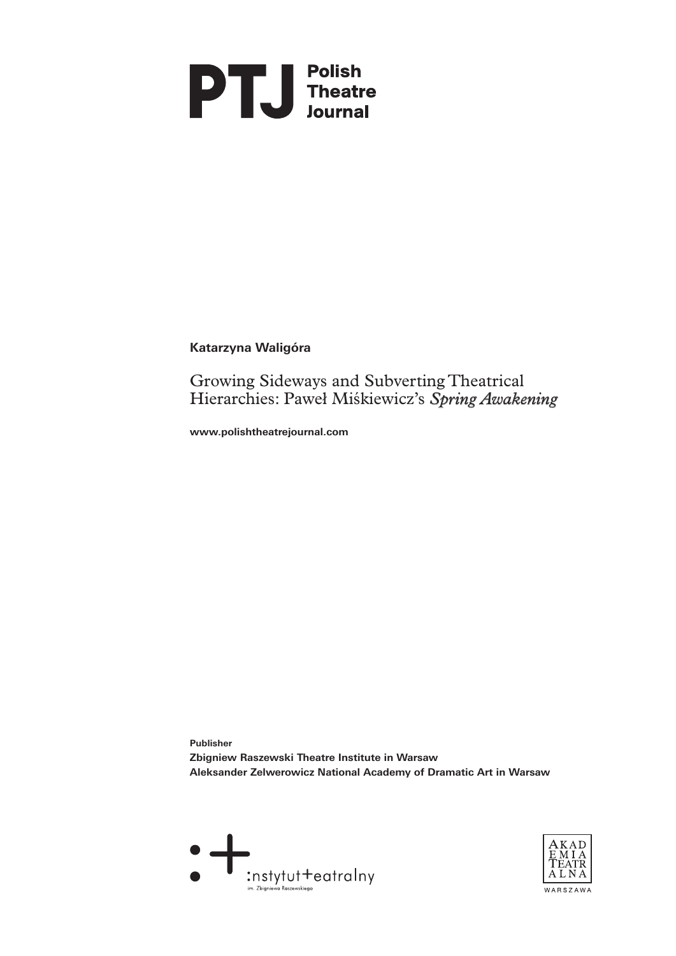

# **Katarzyna Waligóra**

Growing Sideways and Subverting Theatrical Hierarchies: Paweł Miśkiewicz's *Spring Awakening*

**www.polishtheatrejournal.com**

**Publisher Zbigniew Raszewski Theatre Institute in Warsaw Aleksander Zelwerowicz National Academy of Dramatic Art in Warsaw** 



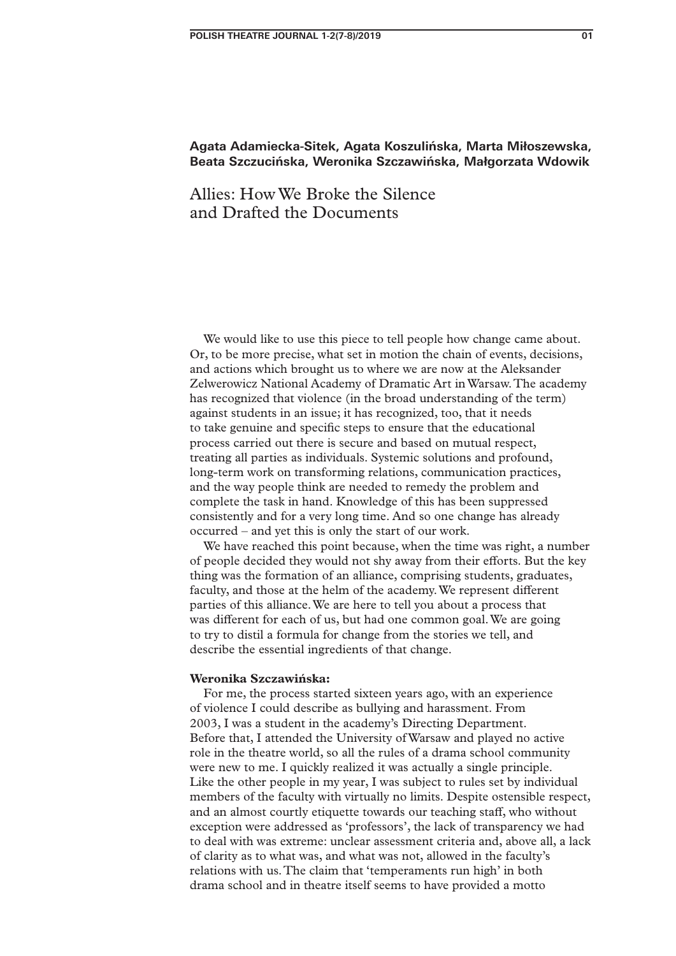## **Agata Adamiecka-Sitek, Agata Koszulińska, Marta Miłoszewska, Beata Szczucińska, Weronika Szczawińska, Małgorzata Wdowik**

# Allies: How We Broke the Silence and Drafted the Documents

We would like to use this piece to tell people how change came about. Or, to be more precise, what set in motion the chain of events, decisions, and actions which brought us to where we are now at the Aleksander Zelwerowicz National Academy of Dramatic Art in Warsaw. The academy has recognized that violence (in the broad understanding of the term) against students in an issue; it has recognized, too, that it needs to take genuine and specific steps to ensure that the educational process carried out there is secure and based on mutual respect, treating all parties as individuals. Systemic solutions and profound, long-term work on transforming relations, communication practices, and the way people think are needed to remedy the problem and complete the task in hand. Knowledge of this has been suppressed consistently and for a very long time. And so one change has already occurred – and yet this is only the start of our work.

We have reached this point because, when the time was right, a number of people decided they would not shy away from their efforts. But the key thing was the formation of an alliance, comprising students, graduates, faculty, and those at the helm of the academy. We represent different parties of this alliance. We are here to tell you about a process that was different for each of us, but had one common goal. We are going to try to distil a formula for change from the stories we tell, and describe the essential ingredients of that change.

#### **Weronika Szczawińska:**

For me, the process started sixteen years ago, with an experience of violence I could describe as bullying and harassment. From 2003, I was a student in the academy's Directing Department. Before that, I attended the University of Warsaw and played no active role in the theatre world, so all the rules of a drama school community were new to me. I quickly realized it was actually a single principle. Like the other people in my year, I was subject to rules set by individual members of the faculty with virtually no limits. Despite ostensible respect, and an almost courtly etiquette towards our teaching staff, who without exception were addressed as 'professors', the lack of transparency we had to deal with was extreme: unclear assessment criteria and, above all, a lack of clarity as to what was, and what was not, allowed in the faculty's relations with us. The claim that 'temperaments run high' in both drama school and in theatre itself seems to have provided a motto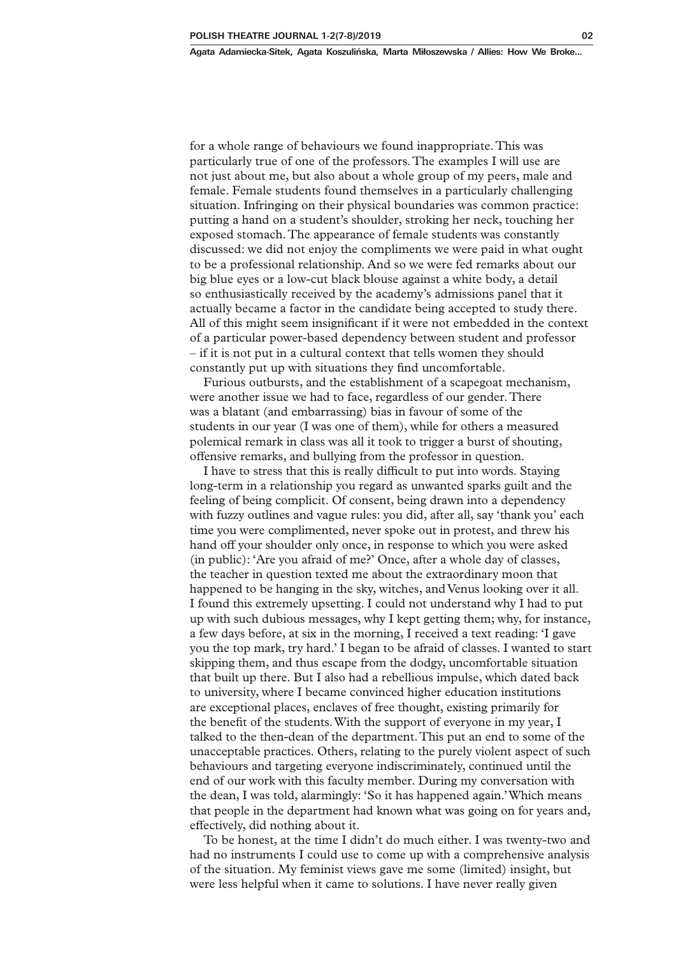**Agata Adamiecka-Sitek, Agata Koszulińska, Marta Miłoszewska / Allies: How We Broke...**

for a whole range of behaviours we found inappropriate. This was particularly true of one of the professors. The examples I will use are not just about me, but also about a whole group of my peers, male and female. Female students found themselves in a particularly challenging situation. Infringing on their physical boundaries was common practice: putting a hand on a student's shoulder, stroking her neck, touching her exposed stomach. The appearance of female students was constantly discussed: we did not enjoy the compliments we were paid in what ought to be a professional relationship. And so we were fed remarks about our big blue eyes or a low-cut black blouse against a white body, a detail so enthusiastically received by the academy's admissions panel that it actually became a factor in the candidate being accepted to study there. All of this might seem insignificant if it were not embedded in the context of a particular power-based dependency between student and professor – if it is not put in a cultural context that tells women they should constantly put up with situations they find uncomfortable.

Furious outbursts, and the establishment of a scapegoat mechanism, were another issue we had to face, regardless of our gender. There was a blatant (and embarrassing) bias in favour of some of the students in our year (I was one of them), while for others a measured polemical remark in class was all it took to trigger a burst of shouting, offensive remarks, and bullying from the professor in question.

I have to stress that this is really difficult to put into words. Staying long-term in a relationship you regard as unwanted sparks guilt and the feeling of being complicit. Of consent, being drawn into a dependency with fuzzy outlines and vague rules: you did, after all, say 'thank you' each time you were complimented, never spoke out in protest, and threw his hand off your shoulder only once, in response to which you were asked (in public): 'Are you afraid of me?' Once, after a whole day of classes, the teacher in question texted me about the extraordinary moon that happened to be hanging in the sky, witches, and Venus looking over it all. I found this extremely upsetting. I could not understand why I had to put up with such dubious messages, why I kept getting them; why, for instance, a few days before, at six in the morning, I received a text reading: 'I gave you the top mark, try hard.' I began to be afraid of classes. I wanted to start skipping them, and thus escape from the dodgy, uncomfortable situation that built up there. But I also had a rebellious impulse, which dated back to university, where I became convinced higher education institutions are exceptional places, enclaves of free thought, existing primarily for the benefit of the students. With the support of everyone in my year, I talked to the then-dean of the department. This put an end to some of the unacceptable practices. Others, relating to the purely violent aspect of such behaviours and targeting everyone indiscriminately, continued until the end of our work with this faculty member. During my conversation with the dean, I was told, alarmingly: 'So it has happened again.' Which means that people in the department had known what was going on for years and, effectively, did nothing about it.

To be honest, at the time I didn't do much either. I was twenty-two and had no instruments I could use to come up with a comprehensive analysis of the situation. My feminist views gave me some (limited) insight, but were less helpful when it came to solutions. I have never really given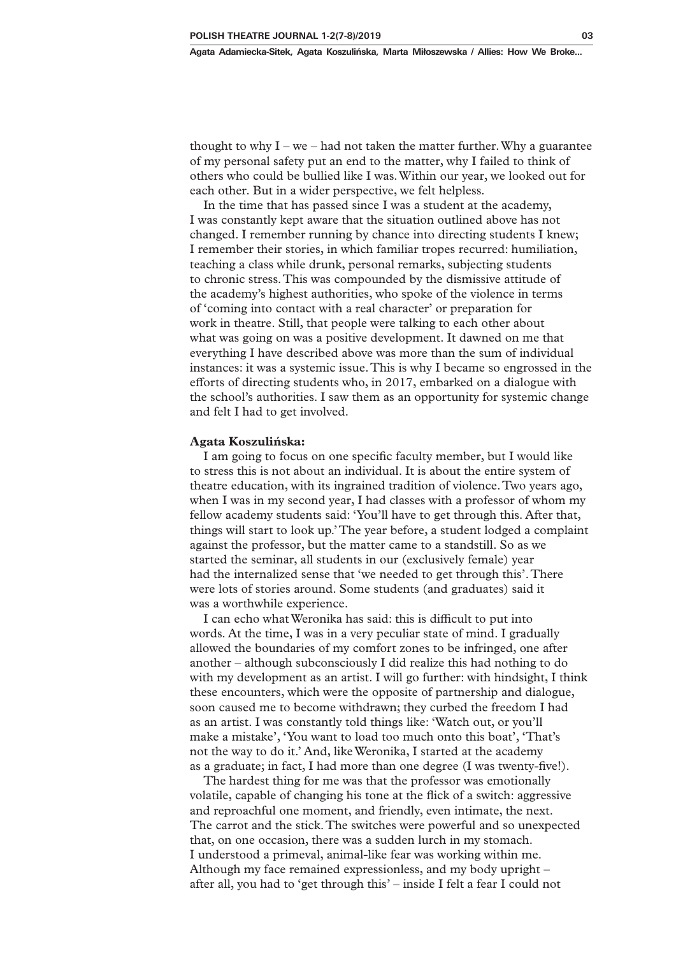thought to why  $I - we - had$  not taken the matter further. Why a guarantee of my personal safety put an end to the matter, why I failed to think of others who could be bullied like I was. Within our year, we looked out for each other. But in a wider perspective, we felt helpless.

In the time that has passed since I was a student at the academy, I was constantly kept aware that the situation outlined above has not changed. I remember running by chance into directing students I knew; I remember their stories, in which familiar tropes recurred: humiliation, teaching a class while drunk, personal remarks, subjecting students to chronic stress. This was compounded by the dismissive attitude of the academy's highest authorities, who spoke of the violence in terms of 'coming into contact with a real character' or preparation for work in theatre. Still, that people were talking to each other about what was going on was a positive development. It dawned on me that everything I have described above was more than the sum of individual instances: it was a systemic issue. This is why I became so engrossed in the efforts of directing students who, in 2017, embarked on a dialogue with the school's authorities. I saw them as an opportunity for systemic change and felt I had to get involved.

#### **Agata Koszulińska:**

I am going to focus on one specific faculty member, but I would like to stress this is not about an individual. It is about the entire system of theatre education, with its ingrained tradition of violence. Two years ago, when I was in my second year, I had classes with a professor of whom my fellow academy students said: 'You'll have to get through this. After that, things will start to look up.' The year before, a student lodged a complaint against the professor, but the matter came to a standstill. So as we started the seminar, all students in our (exclusively female) year had the internalized sense that 'we needed to get through this'. There were lots of stories around. Some students (and graduates) said it was a worthwhile experience.

I can echo what Weronika has said: this is difficult to put into words. At the time, I was in a very peculiar state of mind. I gradually allowed the boundaries of my comfort zones to be infringed, one after another – although subconsciously I did realize this had nothing to do with my development as an artist. I will go further: with hindsight, I think these encounters, which were the opposite of partnership and dialogue, soon caused me to become withdrawn; they curbed the freedom I had as an artist. I was constantly told things like: 'Watch out, or you'll make a mistake', 'You want to load too much onto this boat', 'That's not the way to do it.' And, like Weronika, I started at the academy as a graduate; in fact, I had more than one degree (I was twenty-five!).

The hardest thing for me was that the professor was emotionally volatile, capable of changing his tone at the flick of a switch: aggressive and reproachful one moment, and friendly, even intimate, the next. The carrot and the stick. The switches were powerful and so unexpected that, on one occasion, there was a sudden lurch in my stomach. I understood a primeval, animal-like fear was working within me. Although my face remained expressionless, and my body upright – after all, you had to 'get through this' – inside I felt a fear I could not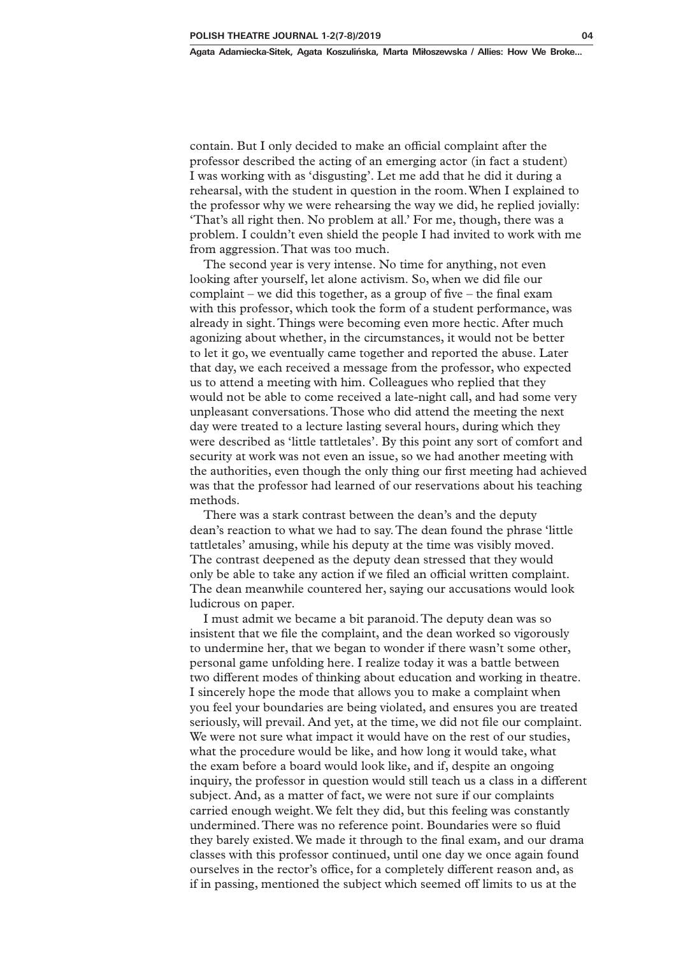contain. But I only decided to make an official complaint after the professor described the acting of an emerging actor (in fact a student) I was working with as 'disgusting'. Let me add that he did it during a rehearsal, with the student in question in the room. When I explained to the professor why we were rehearsing the way we did, he replied jovially: 'That's all right then. No problem at all.' For me, though, there was a problem. I couldn't even shield the people I had invited to work with me from aggression. That was too much.

The second year is very intense. No time for anything, not even looking after yourself, let alone activism. So, when we did file our complaint – we did this together, as a group of five – the final exam with this professor, which took the form of a student performance, was already in sight. Things were becoming even more hectic. After much agonizing about whether, in the circumstances, it would not be better to let it go, we eventually came together and reported the abuse. Later that day, we each received a message from the professor, who expected us to attend a meeting with him. Colleagues who replied that they would not be able to come received a late-night call, and had some very unpleasant conversations. Those who did attend the meeting the next day were treated to a lecture lasting several hours, during which they were described as 'little tattletales'. By this point any sort of comfort and security at work was not even an issue, so we had another meeting with the authorities, even though the only thing our first meeting had achieved was that the professor had learned of our reservations about his teaching methods.

There was a stark contrast between the dean's and the deputy dean's reaction to what we had to say. The dean found the phrase 'little tattletales' amusing, while his deputy at the time was visibly moved. The contrast deepened as the deputy dean stressed that they would only be able to take any action if we filed an official written complaint. The dean meanwhile countered her, saying our accusations would look ludicrous on paper.

I must admit we became a bit paranoid. The deputy dean was so insistent that we file the complaint, and the dean worked so vigorously to undermine her, that we began to wonder if there wasn't some other, personal game unfolding here. I realize today it was a battle between two different modes of thinking about education and working in theatre. I sincerely hope the mode that allows you to make a complaint when you feel your boundaries are being violated, and ensures you are treated seriously, will prevail. And yet, at the time, we did not file our complaint. We were not sure what impact it would have on the rest of our studies, what the procedure would be like, and how long it would take, what the exam before a board would look like, and if, despite an ongoing inquiry, the professor in question would still teach us a class in a different subject. And, as a matter of fact, we were not sure if our complaints carried enough weight. We felt they did, but this feeling was constantly undermined. There was no reference point. Boundaries were so fluid they barely existed. We made it through to the final exam, and our drama classes with this professor continued, until one day we once again found ourselves in the rector's office, for a completely different reason and, as if in passing, mentioned the subject which seemed off limits to us at the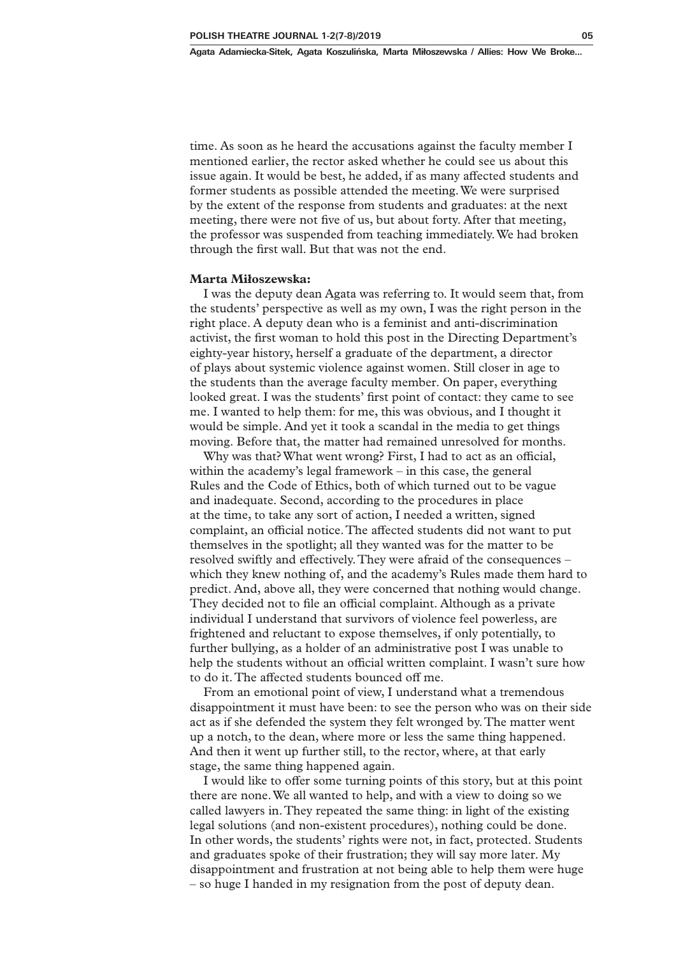time. As soon as he heard the accusations against the faculty member I mentioned earlier, the rector asked whether he could see us about this issue again. It would be best, he added, if as many affected students and former students as possible attended the meeting. We were surprised by the extent of the response from students and graduates: at the next meeting, there were not five of us, but about forty. After that meeting, the professor was suspended from teaching immediately. We had broken through the first wall. But that was not the end.

#### **Marta Miłoszewska:**

I was the deputy dean Agata was referring to. It would seem that, from the students' perspective as well as my own, I was the right person in the right place. A deputy dean who is a feminist and anti-discrimination activist, the first woman to hold this post in the Directing Department's eighty-year history, herself a graduate of the department, a director of plays about systemic violence against women. Still closer in age to the students than the average faculty member. On paper, everything looked great. I was the students' first point of contact: they came to see me. I wanted to help them: for me, this was obvious, and I thought it would be simple. And yet it took a scandal in the media to get things moving. Before that, the matter had remained unresolved for months.

Why was that? What went wrong? First, I had to act as an official, within the academy's legal framework – in this case, the general Rules and the Code of Ethics, both of which turned out to be vague and inadequate. Second, according to the procedures in place at the time, to take any sort of action, I needed a written, signed complaint, an official notice. The affected students did not want to put themselves in the spotlight; all they wanted was for the matter to be resolved swiftly and effectively. They were afraid of the consequences – which they knew nothing of, and the academy's Rules made them hard to predict. And, above all, they were concerned that nothing would change. They decided not to file an official complaint. Although as a private individual I understand that survivors of violence feel powerless, are frightened and reluctant to expose themselves, if only potentially, to further bullying, as a holder of an administrative post I was unable to help the students without an official written complaint. I wasn't sure how to do it. The affected students bounced off me.

From an emotional point of view, I understand what a tremendous disappointment it must have been: to see the person who was on their side act as if she defended the system they felt wronged by. The matter went up a notch, to the dean, where more or less the same thing happened. And then it went up further still, to the rector, where, at that early stage, the same thing happened again.

I would like to offer some turning points of this story, but at this point there are none. We all wanted to help, and with a view to doing so we called lawyers in. They repeated the same thing: in light of the existing legal solutions (and non-existent procedures), nothing could be done. In other words, the students' rights were not, in fact, protected. Students and graduates spoke of their frustration; they will say more later. My disappointment and frustration at not being able to help them were huge – so huge I handed in my resignation from the post of deputy dean.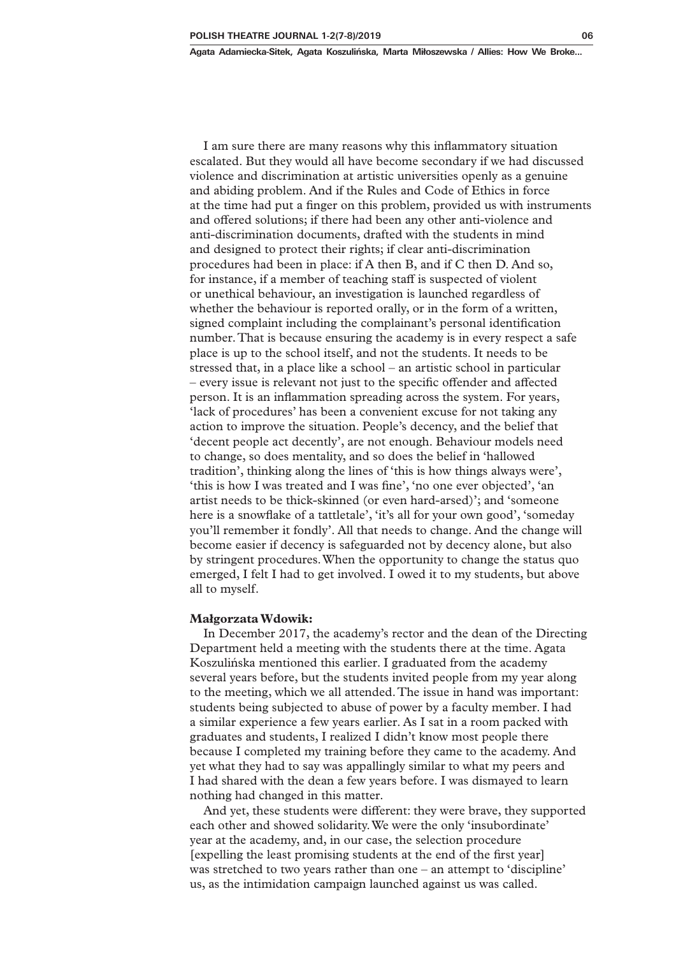**Agata Adamiecka-Sitek, Agata Koszulińska, Marta Miłoszewska / Allies: How We Broke...**

I am sure there are many reasons why this inflammatory situation escalated. But they would all have become secondary if we had discussed violence and discrimination at artistic universities openly as a genuine and abiding problem. And if the Rules and Code of Ethics in force at the time had put a finger on this problem, provided us with instruments and offered solutions; if there had been any other anti-violence and anti-discrimination documents, drafted with the students in mind and designed to protect their rights; if clear anti-discrimination procedures had been in place: if A then B, and if C then D. And so, for instance, if a member of teaching staff is suspected of violent or unethical behaviour, an investigation is launched regardless of whether the behaviour is reported orally, or in the form of a written, signed complaint including the complainant's personal identification number. That is because ensuring the academy is in every respect a safe place is up to the school itself, and not the students. It needs to be stressed that, in a place like a school – an artistic school in particular – every issue is relevant not just to the specific offender and affected person. It is an inflammation spreading across the system. For years, 'lack of procedures' has been a convenient excuse for not taking any action to improve the situation. People's decency, and the belief that 'decent people act decently', are not enough. Behaviour models need to change, so does mentality, and so does the belief in 'hallowed tradition', thinking along the lines of 'this is how things always were', 'this is how I was treated and I was fine', 'no one ever objected', 'an artist needs to be thick-skinned (or even hard-arsed)'; and 'someone here is a snowflake of a tattletale', 'it's all for your own good', 'someday you'll remember it fondly'. All that needs to change. And the change will become easier if decency is safeguarded not by decency alone, but also by stringent procedures. When the opportunity to change the status quo

#### **Małgorzata Wdowik:**

all to myself.

In December 2017, the academy's rector and the dean of the Directing Department held a meeting with the students there at the time. Agata Koszulińska mentioned this earlier. I graduated from the academy several years before, but the students invited people from my year along to the meeting, which we all attended. The issue in hand was important: students being subjected to abuse of power by a faculty member. I had a similar experience a few years earlier. As I sat in a room packed with graduates and students, I realized I didn't know most people there because I completed my training before they came to the academy. And yet what they had to say was appallingly similar to what my peers and I had shared with the dean a few years before. I was dismayed to learn nothing had changed in this matter.

emerged, I felt I had to get involved. I owed it to my students, but above

And yet, these students were different: they were brave, they supported each other and showed solidarity. We were the only 'insubordinate' year at the academy, and, in our case, the selection procedure [expelling the least promising students at the end of the first year] was stretched to two years rather than one – an attempt to 'discipline' us, as the intimidation campaign launched against us was called.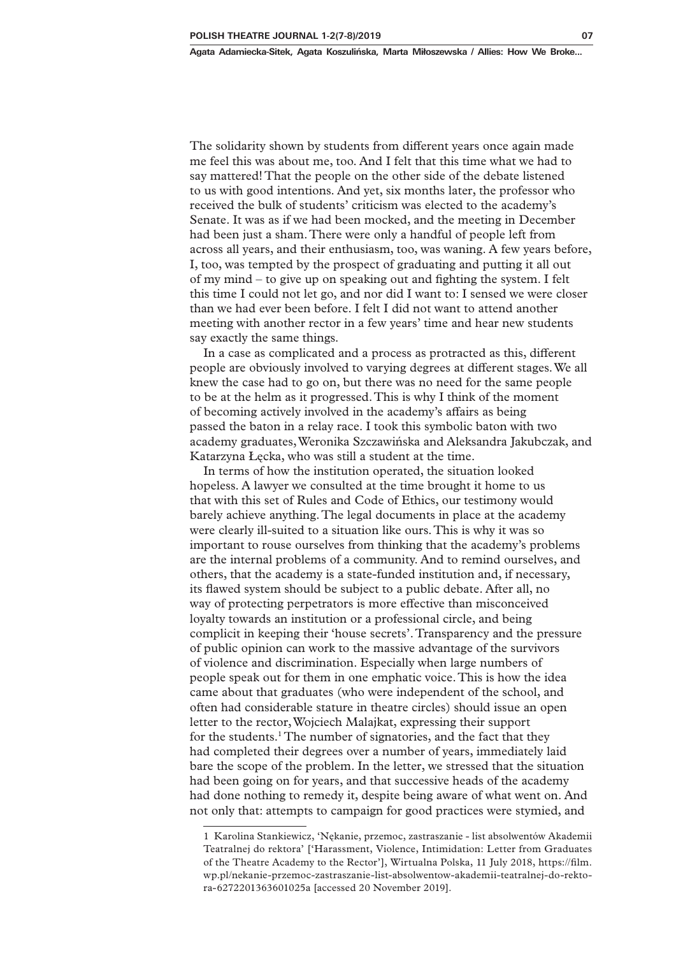The solidarity shown by students from different years once again made me feel this was about me, too. And I felt that this time what we had to say mattered! That the people on the other side of the debate listened to us with good intentions. And yet, six months later, the professor who received the bulk of students' criticism was elected to the academy's Senate. It was as if we had been mocked, and the meeting in December had been just a sham. There were only a handful of people left from across all years, and their enthusiasm, too, was waning. A few years before, I, too, was tempted by the prospect of graduating and putting it all out of my mind – to give up on speaking out and fighting the system. I felt this time I could not let go, and nor did I want to: I sensed we were closer than we had ever been before. I felt I did not want to attend another meeting with another rector in a few years' time and hear new students say exactly the same things.

In a case as complicated and a process as protracted as this, different people are obviously involved to varying degrees at different stages. We all knew the case had to go on, but there was no need for the same people to be at the helm as it progressed. This is why I think of the moment of becoming actively involved in the academy's affairs as being passed the baton in a relay race. I took this symbolic baton with two academy graduates, Weronika Szczawińska and Aleksandra Jakubczak, and Katarzyna Łęcka, who was still a student at the time.

In terms of how the institution operated, the situation looked hopeless. A lawyer we consulted at the time brought it home to us that with this set of Rules and Code of Ethics, our testimony would barely achieve anything. The legal documents in place at the academy were clearly ill-suited to a situation like ours. This is why it was so important to rouse ourselves from thinking that the academy's problems are the internal problems of a community. And to remind ourselves, and others, that the academy is a state-funded institution and, if necessary, its flawed system should be subject to a public debate. After all, no way of protecting perpetrators is more effective than misconceived loyalty towards an institution or a professional circle, and being complicit in keeping their 'house secrets'. Transparency and the pressure of public opinion can work to the massive advantage of the survivors of violence and discrimination. Especially when large numbers of people speak out for them in one emphatic voice. This is how the idea came about that graduates (who were independent of the school, and often had considerable stature in theatre circles) should issue an open letter to the rector, Wojciech Malajkat, expressing their support for the students.<sup>1</sup> The number of signatories, and the fact that they had completed their degrees over a number of years, immediately laid bare the scope of the problem. In the letter, we stressed that the situation had been going on for years, and that successive heads of the academy had done nothing to remedy it, despite being aware of what went on. And not only that: attempts to campaign for good practices were stymied, and

<sup>1</sup> Karolina Stankiewicz, 'Nękanie, przemoc, zastraszanie - list absolwentów Akademii Teatralnej do rektora' ['Harassment, Violence, Intimidation: Letter from Graduates of the Theatre Academy to the Rector'], Wirtualna Polska, 11 July 2018, https://film. wp.pl/nekanie-przemoc-zastraszanie-list-absolwentow-akademii-teatralnej-do-rektora-6272201363601025a [accessed 20 November 2019].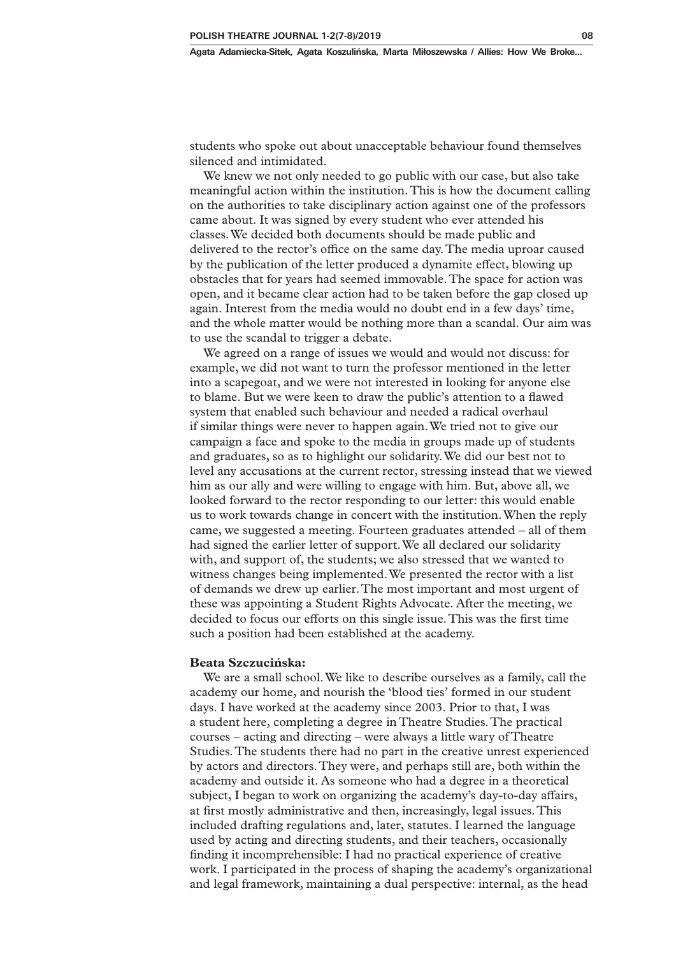students who spoke out about unacceptable behaviour found themselves silenced and intimidated.

We knew we not only needed to go public with our case, but also take meaningful action within the institution. This is how the document calling on the authorities to take disciplinary action against one of the professors came about. It was signed by every student who ever attended his classes. We decided both documents should be made public and delivered to the rector's office on the same day. The media uproar caused by the publication of the letter produced a dynamite effect, blowing up obstacles that for years had seemed immovable. The space for action was open, and it became clear action had to be taken before the gap closed up again. Interest from the media would no doubt end in a few days' time, and the whole matter would be nothing more than a scandal. Our aim was to use the scandal to trigger a debate.

We agreed on a range of issues we would and would not discuss: for example, we did not want to turn the professor mentioned in the letter into a scapegoat, and we were not interested in looking for anyone else to blame. But we were keen to draw the public's attention to a flawed system that enabled such behaviour and needed a radical overhaul if similar things were never to happen again. We tried not to give our campaign a face and spoke to the media in groups made up of students and graduates, so as to highlight our solidarity. We did our best not to level any accusations at the current rector, stressing instead that we viewed him as our ally and were willing to engage with him. But, above all, we looked forward to the rector responding to our letter: this would enable us to work towards change in concert with the institution. When the reply came, we suggested a meeting. Fourteen graduates attended – all of them had signed the earlier letter of support. We all declared our solidarity with, and support of, the students; we also stressed that we wanted to witness changes being implemented. We presented the rector with a list of demands we drew up earlier. The most important and most urgent of these was appointing a Student Rights Advocate. After the meeting, we decided to focus our efforts on this single issue. This was the first time such a position had been established at the academy.

### **Beata Szczucińska:**

We are a small school. We like to describe ourselves as a family, call the academy our home, and nourish the 'blood ties' formed in our student days. I have worked at the academy since 2003. Prior to that, I was a student here, completing a degree in Theatre Studies. The practical courses – acting and directing – were always a little wary of Theatre Studies. The students there had no part in the creative unrest experienced by actors and directors. They were, and perhaps still are, both within the academy and outside it. As someone who had a degree in a theoretical subject, I began to work on organizing the academy's day-to-day affairs, at first mostly administrative and then, increasingly, legal issues. This included drafting regulations and, later, statutes. I learned the language used by acting and directing students, and their teachers, occasionally finding it incomprehensible: I had no practical experience of creative work. I participated in the process of shaping the academy's organizational and legal framework, maintaining a dual perspective: internal, as the head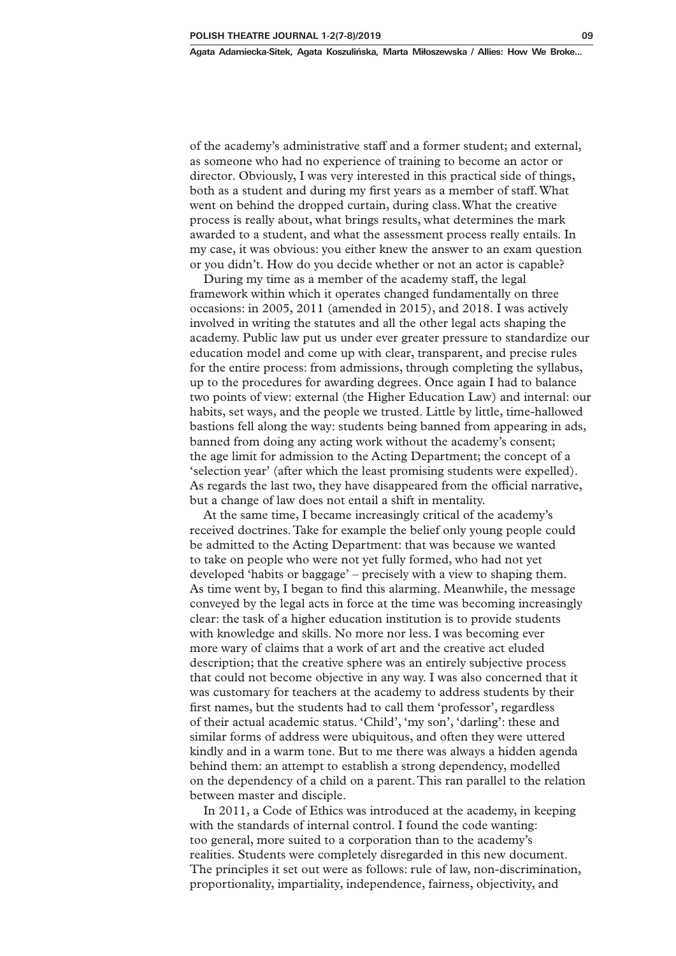of the academy's administrative staff and a former student; and external, as someone who had no experience of training to become an actor or director. Obviously, I was very interested in this practical side of things, both as a student and during my first years as a member of staff. What went on behind the dropped curtain, during class. What the creative process is really about, what brings results, what determines the mark awarded to a student, and what the assessment process really entails. In my case, it was obvious: you either knew the answer to an exam question or you didn't. How do you decide whether or not an actor is capable?

During my time as a member of the academy staff, the legal framework within which it operates changed fundamentally on three occasions: in 2005, 2011 (amended in 2015), and 2018. I was actively involved in writing the statutes and all the other legal acts shaping the academy. Public law put us under ever greater pressure to standardize our education model and come up with clear, transparent, and precise rules for the entire process: from admissions, through completing the syllabus, up to the procedures for awarding degrees. Once again I had to balance two points of view: external (the Higher Education Law) and internal: our habits, set ways, and the people we trusted. Little by little, time-hallowed bastions fell along the way: students being banned from appearing in ads, banned from doing any acting work without the academy's consent; the age limit for admission to the Acting Department; the concept of a 'selection year' (after which the least promising students were expelled). As regards the last two, they have disappeared from the official narrative, but a change of law does not entail a shift in mentality.

At the same time, I became increasingly critical of the academy's received doctrines. Take for example the belief only young people could be admitted to the Acting Department: that was because we wanted to take on people who were not yet fully formed, who had not yet developed 'habits or baggage' – precisely with a view to shaping them. As time went by, I began to find this alarming. Meanwhile, the message conveyed by the legal acts in force at the time was becoming increasingly clear: the task of a higher education institution is to provide students with knowledge and skills. No more nor less. I was becoming ever more wary of claims that a work of art and the creative act eluded description; that the creative sphere was an entirely subjective process that could not become objective in any way. I was also concerned that it was customary for teachers at the academy to address students by their first names, but the students had to call them 'professor', regardless of their actual academic status. 'Child', 'my son', 'darling': these and similar forms of address were ubiquitous, and often they were uttered kindly and in a warm tone. But to me there was always a hidden agenda behind them: an attempt to establish a strong dependency, modelled on the dependency of a child on a parent. This ran parallel to the relation between master and disciple.

In 2011, a Code of Ethics was introduced at the academy, in keeping with the standards of internal control. I found the code wanting: too general, more suited to a corporation than to the academy's realities. Students were completely disregarded in this new document. The principles it set out were as follows: rule of law, non-discrimination, proportionality, impartiality, independence, fairness, objectivity, and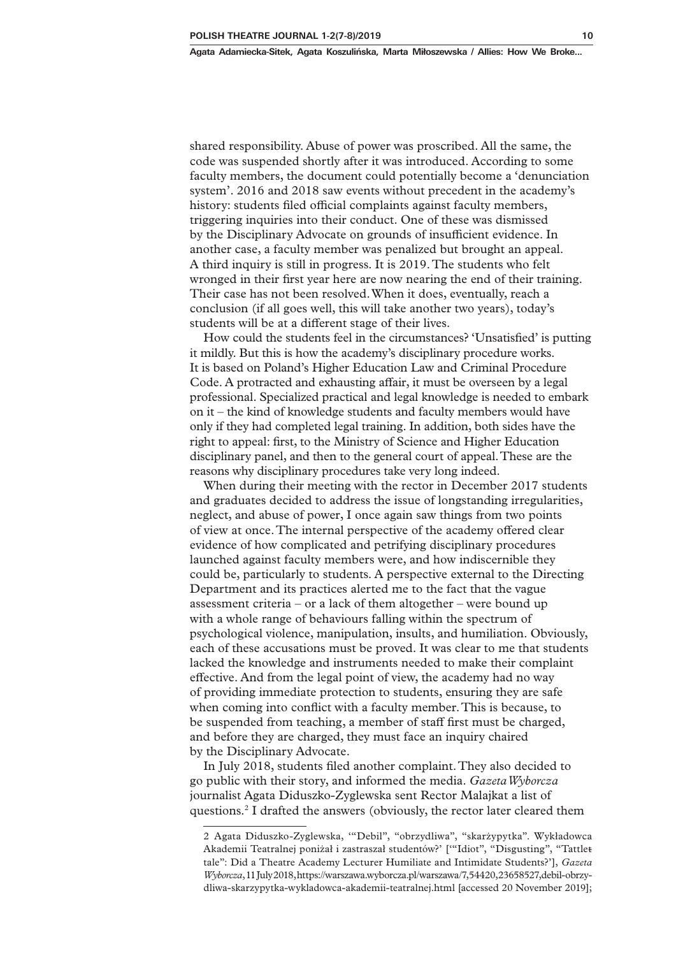shared responsibility. Abuse of power was proscribed. All the same, the code was suspended shortly after it was introduced. According to some faculty members, the document could potentially become a 'denunciation system'. 2016 and 2018 saw events without precedent in the academy's history: students filed official complaints against faculty members, triggering inquiries into their conduct. One of these was dismissed by the Disciplinary Advocate on grounds of insufficient evidence. In another case, a faculty member was penalized but brought an appeal. A third inquiry is still in progress. It is 2019. The students who felt wronged in their first year here are now nearing the end of their training. Their case has not been resolved. When it does, eventually, reach a conclusion (if all goes well, this will take another two years), today's students will be at a different stage of their lives.

How could the students feel in the circumstances? 'Unsatisfied' is putting it mildly. But this is how the academy's disciplinary procedure works. It is based on Poland's Higher Education Law and Criminal Procedure Code. A protracted and exhausting affair, it must be overseen by a legal professional. Specialized practical and legal knowledge is needed to embark on it – the kind of knowledge students and faculty members would have only if they had completed legal training. In addition, both sides have the right to appeal: first, to the Ministry of Science and Higher Education disciplinary panel, and then to the general court of appeal. These are the reasons why disciplinary procedures take very long indeed.

When during their meeting with the rector in December 2017 students and graduates decided to address the issue of longstanding irregularities, neglect, and abuse of power, I once again saw things from two points of view at once. The internal perspective of the academy offered clear evidence of how complicated and petrifying disciplinary procedures launched against faculty members were, and how indiscernible they could be, particularly to students. A perspective external to the Directing Department and its practices alerted me to the fact that the vague assessment criteria – or a lack of them altogether – were bound up with a whole range of behaviours falling within the spectrum of psychological violence, manipulation, insults, and humiliation. Obviously, each of these accusations must be proved. It was clear to me that students lacked the knowledge and instruments needed to make their complaint effective. And from the legal point of view, the academy had no way of providing immediate protection to students, ensuring they are safe when coming into conflict with a faculty member. This is because, to be suspended from teaching, a member of staff first must be charged, and before they are charged, they must face an inquiry chaired by the Disciplinary Advocate.

In July 2018, students filed another complaint. They also decided to go public with their story, and informed the media. *Gazeta Wyborcza* journalist Agata Diduszko-Zyglewska sent Rector Malajkat a list of questions.2 I drafted the answers (obviously, the rector later cleared them

<sup>2</sup> Agata Diduszko-Zyglewska, '"Debil", "obrzydliwa", "skarżypytka". Wykładowca Akademii Teatralnej poniżał i zastraszał studentów?' ['"Idiot", "Disgusting", "Tattlettale": Did a Theatre Academy Lecturer Humiliate and Intimidate Students?'], *Gazeta Wyborcza*, 11 July 2018, https://warszawa.wyborcza.pl/warszawa/7,54420,23658527,debil-obrzydliwa-skarzypytka-wykladowca-akademii-teatralnej.html [accessed 20 November 2019];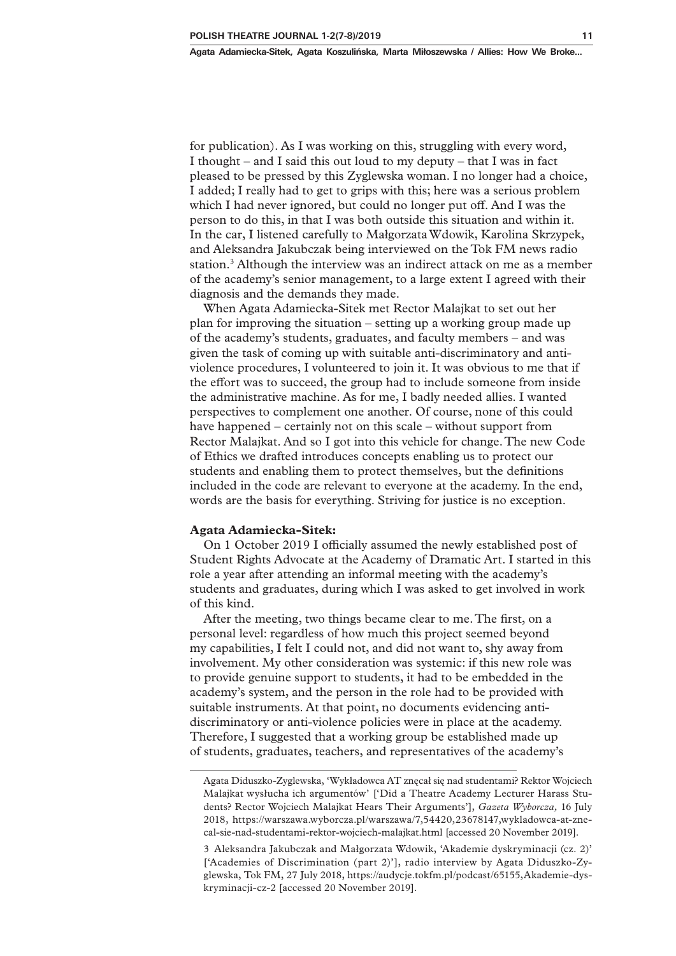for publication). As I was working on this, struggling with every word, I thought – and I said this out loud to my deputy – that I was in fact pleased to be pressed by this Zyglewska woman. I no longer had a choice, I added; I really had to get to grips with this; here was a serious problem which I had never ignored, but could no longer put off. And I was the person to do this, in that I was both outside this situation and within it. In the car, I listened carefully to Małgorzata Wdowik, Karolina Skrzypek, and Aleksandra Jakubczak being interviewed on the Tok FM news radio station.<sup>3</sup> Although the interview was an indirect attack on me as a member of the academy's senior management, to a large extent I agreed with their diagnosis and the demands they made.

When Agata Adamiecka-Sitek met Rector Malajkat to set out her plan for improving the situation – setting up a working group made up of the academy's students, graduates, and faculty members – and was given the task of coming up with suitable anti-discriminatory and antiviolence procedures, I volunteered to join it. It was obvious to me that if the effort was to succeed, the group had to include someone from inside the administrative machine. As for me, I badly needed allies. I wanted perspectives to complement one another. Of course, none of this could have happened – certainly not on this scale – without support from Rector Malajkat. And so I got into this vehicle for change. The new Code of Ethics we drafted introduces concepts enabling us to protect our students and enabling them to protect themselves, but the definitions included in the code are relevant to everyone at the academy. In the end, words are the basis for everything. Striving for justice is no exception.

#### **Agata Adamiecka-Sitek:**

On 1 October 2019 I officially assumed the newly established post of Student Rights Advocate at the Academy of Dramatic Art. I started in this role a year after attending an informal meeting with the academy's students and graduates, during which I was asked to get involved in work of this kind.

After the meeting, two things became clear to me. The first, on a personal level: regardless of how much this project seemed beyond my capabilities, I felt I could not, and did not want to, shy away from involvement. My other consideration was systemic: if this new role was to provide genuine support to students, it had to be embedded in the academy's system, and the person in the role had to be provided with suitable instruments. At that point, no documents evidencing antidiscriminatory or anti-violence policies were in place at the academy. Therefore, I suggested that a working group be established made up of students, graduates, teachers, and representatives of the academy's

Agata Diduszko-Zyglewska, 'Wykładowca AT znęcał się nad studentami? Rektor Wojciech Malajkat wysłucha ich argumentów' ['Did a Theatre Academy Lecturer Harass Students? Rector Wojciech Malajkat Hears Their Arguments'], *Gazeta Wyborcza,* 16 July 2018, https://warszawa.wyborcza.pl/warszawa/7,54420,23678147,wykladowca-at-znecal-sie-nad-studentami-rektor-wojciech-malajkat.html [accessed 20 November 2019].

<sup>3</sup> Aleksandra Jakubczak and Małgorzata Wdowik, 'Akademie dyskryminacji (cz. 2)' ['Academies of Discrimination (part 2)'], radio interview by Agata Diduszko-Zyglewska, Tok FM, 27 July 2018, https://audycje.tokfm.pl/podcast/65155,Akademie-dyskryminacji-cz-2 [accessed 20 November 2019].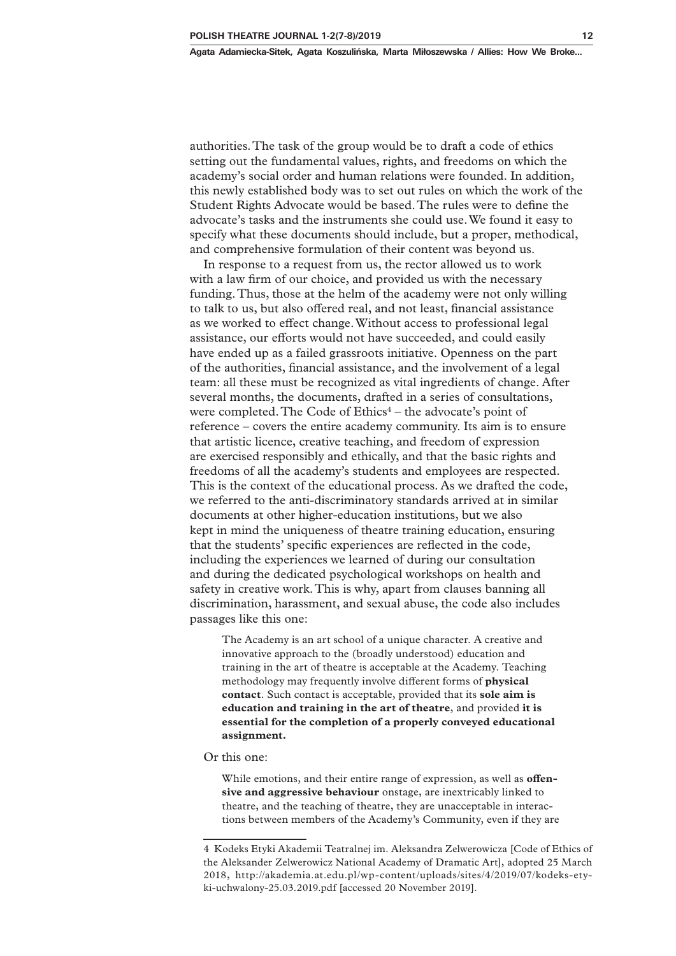authorities. The task of the group would be to draft a code of ethics setting out the fundamental values, rights, and freedoms on which the academy's social order and human relations were founded. In addition, this newly established body was to set out rules on which the work of the Student Rights Advocate would be based. The rules were to define the advocate's tasks and the instruments she could use. We found it easy to specify what these documents should include, but a proper, methodical, and comprehensive formulation of their content was beyond us.

In response to a request from us, the rector allowed us to work with a law firm of our choice, and provided us with the necessary funding. Thus, those at the helm of the academy were not only willing to talk to us, but also offered real, and not least, financial assistance as we worked to effect change. Without access to professional legal assistance, our efforts would not have succeeded, and could easily have ended up as a failed grassroots initiative. Openness on the part of the authorities, financial assistance, and the involvement of a legal team: all these must be recognized as vital ingredients of change. After several months, the documents, drafted in a series of consultations, were completed. The Code of  $Ethics<sup>4</sup> - the advocate's point of$ reference – covers the entire academy community. Its aim is to ensure that artistic licence, creative teaching, and freedom of expression are exercised responsibly and ethically, and that the basic rights and freedoms of all the academy's students and employees are respected. This is the context of the educational process. As we drafted the code, we referred to the anti-discriminatory standards arrived at in similar documents at other higher-education institutions, but we also kept in mind the uniqueness of theatre training education, ensuring that the students' specific experiences are reflected in the code, including the experiences we learned of during our consultation and during the dedicated psychological workshops on health and safety in creative work. This is why, apart from clauses banning all discrimination, harassment, and sexual abuse, the code also includes passages like this one:

The Academy is an art school of a unique character. A creative and innovative approach to the (broadly understood) education and training in the art of theatre is acceptable at the Academy. Teaching methodology may frequently involve different forms of **physical contact**. Such contact is acceptable, provided that its **sole aim is education and training in the art of theatre**, and provided **it is essential for the completion of a properly conveyed educational assignment.**

Or this one:

While emotions, and their entire range of expression, as well as **offensive and aggressive behaviour** onstage, are inextricably linked to theatre, and the teaching of theatre, they are unacceptable in interactions between members of the Academy's Community, even if they are

<sup>4</sup> Kodeks Etyki Akademii Teatralnej im. Aleksandra Zelwerowicza [Code of Ethics of the Aleksander Zelwerowicz National Academy of Dramatic Art], adopted 25 March 2018, http://akademia.at.edu.pl/wp-content/uploads/sites/4/2019/07/kodeks-etyki-uchwalony-25.03.2019.pdf [accessed 20 November 2019].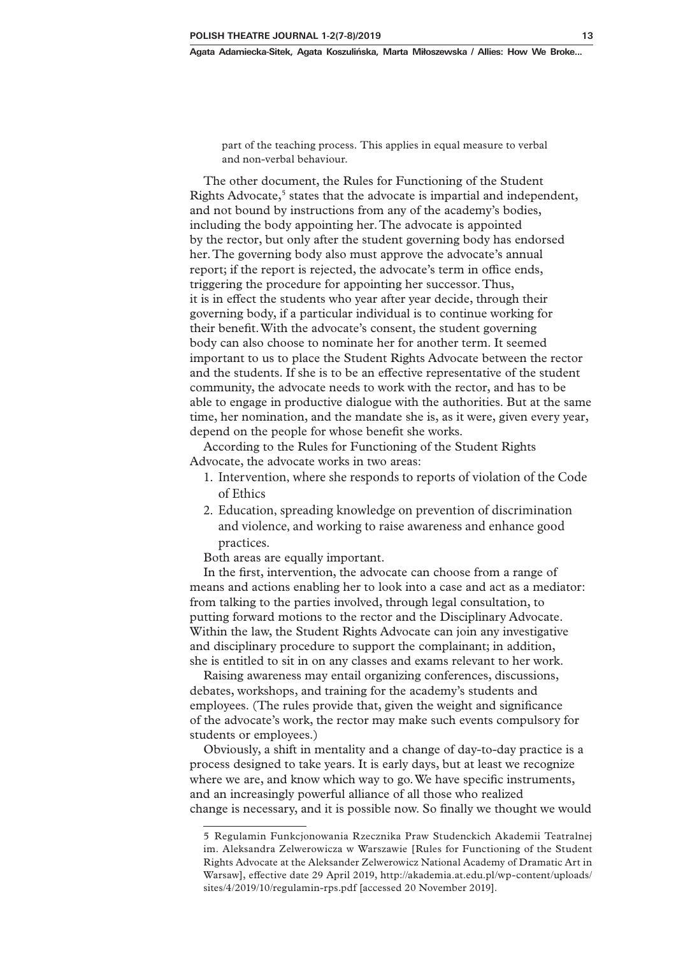part of the teaching process. This applies in equal measure to verbal and non-verbal behaviour.

The other document, the Rules for Functioning of the Student Rights Advocate,<sup>5</sup> states that the advocate is impartial and independent, and not bound by instructions from any of the academy's bodies, including the body appointing her. The advocate is appointed by the rector, but only after the student governing body has endorsed her. The governing body also must approve the advocate's annual report; if the report is rejected, the advocate's term in office ends, triggering the procedure for appointing her successor. Thus, it is in effect the students who year after year decide, through their governing body, if a particular individual is to continue working for their benefit. With the advocate's consent, the student governing body can also choose to nominate her for another term. It seemed important to us to place the Student Rights Advocate between the rector and the students. If she is to be an effective representative of the student community, the advocate needs to work with the rector, and has to be able to engage in productive dialogue with the authorities. But at the same time, her nomination, and the mandate she is, as it were, given every year, depend on the people for whose benefit she works.

According to the Rules for Functioning of the Student Rights Advocate, the advocate works in two areas:

- 1. Intervention, where she responds to reports of violation of the Code of Ethics
- 2. Education, spreading knowledge on prevention of discrimination and violence, and working to raise awareness and enhance good practices.

Both areas are equally important.

In the first, intervention, the advocate can choose from a range of means and actions enabling her to look into a case and act as a mediator: from talking to the parties involved, through legal consultation, to putting forward motions to the rector and the Disciplinary Advocate. Within the law, the Student Rights Advocate can join any investigative and disciplinary procedure to support the complainant; in addition, she is entitled to sit in on any classes and exams relevant to her work.

Raising awareness may entail organizing conferences, discussions, debates, workshops, and training for the academy's students and employees. (The rules provide that, given the weight and significance of the advocate's work, the rector may make such events compulsory for students or employees.)

Obviously, a shift in mentality and a change of day-to-day practice is a process designed to take years. It is early days, but at least we recognize where we are, and know which way to go. We have specific instruments, and an increasingly powerful alliance of all those who realized change is necessary, and it is possible now. So finally we thought we would

<sup>5</sup> Regulamin Funkcjonowania Rzecznika Praw Studenckich Akademii Teatralnej im. Aleksandra Zelwerowicza w Warszawie [Rules for Functioning of the Student Rights Advocate at the Aleksander Zelwerowicz National Academy of Dramatic Art in Warsaw], effective date 29 April 2019, http://akademia.at.edu.pl/wp-content/uploads/ sites/4/2019/10/regulamin-rps.pdf [accessed 20 November 2019].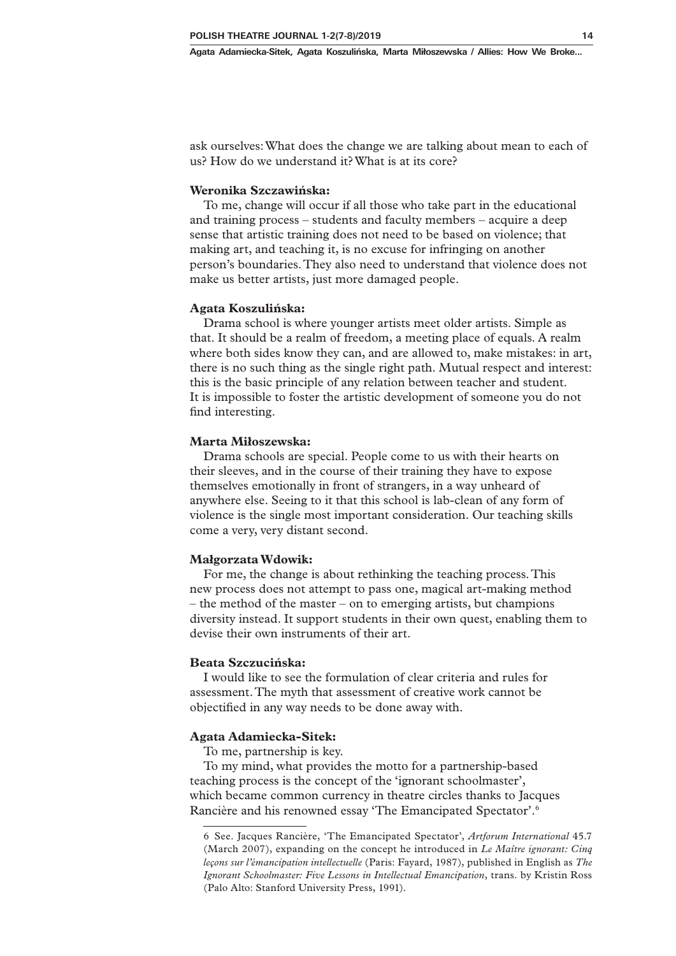**Agata Adamiecka-Sitek, Agata Koszulińska, Marta Miłoszewska / Allies: How We Broke...**

ask ourselves: What does the change we are talking about mean to each of us? How do we understand it? What is at its core?

### **Weronika Szczawińska:**

To me, change will occur if all those who take part in the educational and training process – students and faculty members – acquire a deep sense that artistic training does not need to be based on violence; that making art, and teaching it, is no excuse for infringing on another person's boundaries. They also need to understand that violence does not make us better artists, just more damaged people.

#### **Agata Koszulińska:**

Drama school is where younger artists meet older artists. Simple as that. It should be a realm of freedom, a meeting place of equals. A realm where both sides know they can, and are allowed to, make mistakes: in art, there is no such thing as the single right path. Mutual respect and interest: this is the basic principle of any relation between teacher and student. It is impossible to foster the artistic development of someone you do not find interesting.

## **Marta Miłoszewska:**

Drama schools are special. People come to us with their hearts on their sleeves, and in the course of their training they have to expose themselves emotionally in front of strangers, in a way unheard of anywhere else. Seeing to it that this school is lab-clean of any form of violence is the single most important consideration. Our teaching skills come a very, very distant second.

#### **Małgorzata Wdowik:**

For me, the change is about rethinking the teaching process. This new process does not attempt to pass one, magical art-making method – the method of the master – on to emerging artists, but champions diversity instead. It support students in their own quest, enabling them to devise their own instruments of their art.

## **Beata Szczucińska:**

I would like to see the formulation of clear criteria and rules for assessment. The myth that assessment of creative work cannot be objectified in any way needs to be done away with.

#### **Agata Adamiecka-Sitek:**

To me, partnership is key.

To my mind, what provides the motto for a partnership-based teaching process is the concept of the 'ignorant schoolmaster', which became common currency in theatre circles thanks to Jacques Rancière and his renowned essay 'The Emancipated Spectator'.6

<sup>6</sup> See. Jacques Rancière, 'The Emancipated Spectator', *Artforum International* 45.7 (March 2007), expanding on the concept he introduced in *Le Maître ignorant: Cinq leçons sur l'émancipation intellectuelle* (Paris: Fayard, 1987), published in English as *The Ignorant Schoolmaster: Five Lessons in Intellectual Emancipation*, trans. by Kristin Ross (Palo Alto: Stanford University Press, 1991).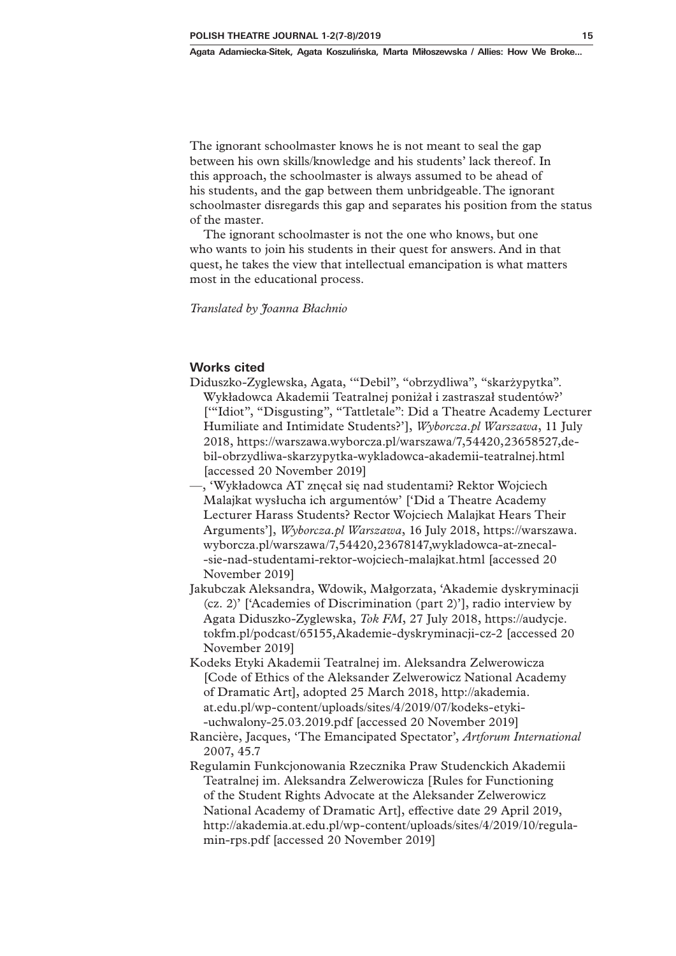The ignorant schoolmaster knows he is not meant to seal the gap between his own skills/knowledge and his students' lack thereof. In this approach, the schoolmaster is always assumed to be ahead of his students, and the gap between them unbridgeable. The ignorant schoolmaster disregards this gap and separates his position from the status of the master.

The ignorant schoolmaster is not the one who knows, but one who wants to join his students in their quest for answers. And in that quest, he takes the view that intellectual emancipation is what matters most in the educational process.

*Translated by Joanna Błachnio*

## **Works cited**

- Diduszko-Zyglewska, Agata, '"Debil", "obrzydliwa", "skarżypytka". Wykładowca Akademii Teatralnej poniżał i zastraszał studentów?' ['"Idiot", "Disgusting", "Tattletale": Did a Theatre Academy Lecturer Humiliate and Intimidate Students?'], *Wyborcza.pl Warszawa*, 11 July 2018, https://warszawa.wyborcza.pl/warszawa/7,54420,23658527,debil-obrzydliwa-skarzypytka-wykladowca-akademii-teatralnej.html [accessed 20 November 2019]
- —, 'Wykładowca AT znęcał się nad studentami? Rektor Wojciech Malajkat wysłucha ich argumentów' ['Did a Theatre Academy Lecturer Harass Students? Rector Wojciech Malajkat Hears Their Arguments'], *Wyborcza.pl Warszawa*, 16 July 2018, https://warszawa. wyborcza.pl/warszawa/7,54420,23678147,wykladowca-at-znecal- -sie-nad-studentami-rektor-wojciech-malajkat.html [accessed 20 November 2019]
- Jakubczak Aleksandra, Wdowik, Małgorzata, 'Akademie dyskryminacji (cz. 2)' ['Academies of Discrimination (part 2)'], radio interview by Agata Diduszko-Zyglewska, *Tok FM*, 27 July 2018, https://audycje. tokfm.pl/podcast/65155,Akademie-dyskryminacji-cz-2 [accessed 20 November 2019]
- Kodeks Etyki Akademii Teatralnej im. Aleksandra Zelwerowicza [Code of Ethics of the Aleksander Zelwerowicz National Academy of Dramatic Art], adopted 25 March 2018, http://akademia. at.edu.pl/wp-content/uploads/sites/4/2019/07/kodeks-etyki- -uchwalony-25.03.2019.pdf [accessed 20 November 2019]
- Rancière, Jacques, 'The Emancipated Spectator', *Artforum International* 2007, 45.7
- Regulamin Funkcjonowania Rzecznika Praw Studenckich Akademii Teatralnej im. Aleksandra Zelwerowicza [Rules for Functioning of the Student Rights Advocate at the Aleksander Zelwerowicz National Academy of Dramatic Art], effective date 29 April 2019, http://akademia.at.edu.pl/wp-content/uploads/sites/4/2019/10/regulamin-rps.pdf [accessed 20 November 2019]